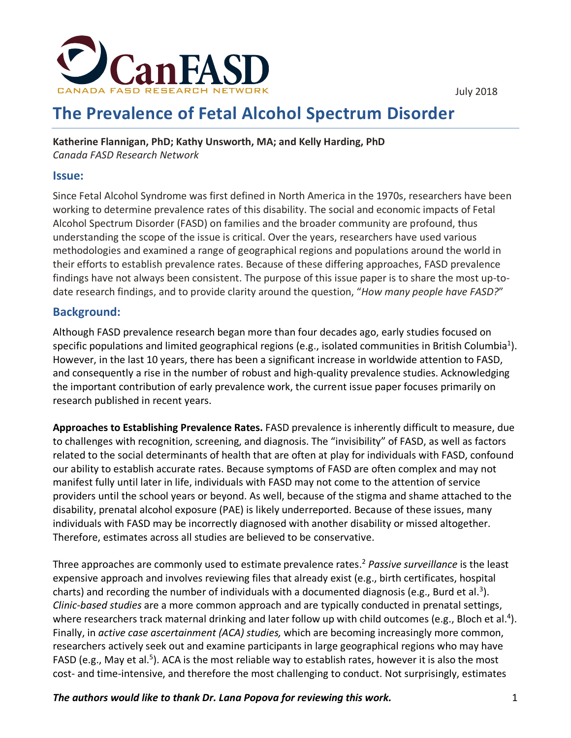

# **The Prevalence of Fetal Alcohol Spectrum Disorder**

**Katherine Flannigan, PhD; Kathy Unsworth, MA; and Kelly Harding, PhD** *Canada FASD Research Network*

#### **Issue:**

Since Fetal Alcohol Syndrome was first defined in North America in the 1970s, researchers have been working to determine prevalence rates of this disability. The social and economic impacts of Fetal Alcohol Spectrum Disorder (FASD) on families and the broader community are profound, thus understanding the scope of the issue is critical. Over the years, researchers have used various methodologies and examined a range of geographical regions and populations around the world in their efforts to establish prevalence rates. Because of these differing approaches, FASD prevalence findings have not always been consistent. The purpose of this issue paper is to share the most up-todate research findings, and to provide clarity around the question, "*How many people have FASD?*"

#### **Background:**

Although FASD prevalence research began more than four decades ago, early studies focused on specific populations and limited geographical regions (e.g., isolated communities in British Columbia<sup>1</sup>). However, in the last 10 years, there has been a significant increase in worldwide attention to FASD, and consequently a rise in the number of robust and high-quality prevalence studies. Acknowledging the important contribution of early prevalence work, the current issue paper focuses primarily on research published in recent years.

**Approaches to Establishing Prevalence Rates.** FASD prevalence is inherently difficult to measure, due to challenges with recognition, screening, and diagnosis. The "invisibility" of FASD, as well as factors related to the social determinants of health that are often at play for individuals with FASD, confound our ability to establish accurate rates. Because symptoms of FASD are often complex and may not manifest fully until later in life, individuals with FASD may not come to the attention of service providers until the school years or beyond. As well, because of the stigma and shame attached to the disability, prenatal alcohol exposure (PAE) is likely underreported. Because of these issues, many individuals with FASD may be incorrectly diagnosed with another disability or missed altogether. Therefore, estimates across all studies are believed to be conservative.

Three approaches are commonly used to estimate prevalence rates. <sup>2</sup> *Passive surveillance* is the least expensive approach and involves reviewing files that already exist (e.g., birth certificates, hospital charts) and recording the number of individuals with a documented diagnosis (e.g., Burd et al.<sup>3</sup>). *Clinic-based studies* are a more common approach and are typically conducted in prenatal settings, where researchers track maternal drinking and later follow up with child outcomes (e.g., Bloch et al.<sup>4</sup>). Finally, in *active case ascertainment (ACA) studies,* which are becoming increasingly more common, researchers actively seek out and examine participants in large geographical regions who may have FASD (e.g., May et al.<sup>5</sup>). ACA is the most reliable way to establish rates, however it is also the most cost- and time-intensive, and therefore the most challenging to conduct. Not surprisingly, estimates

*The authors would like to thank Dr. Lana Popova for reviewing this work.* 1

July 2018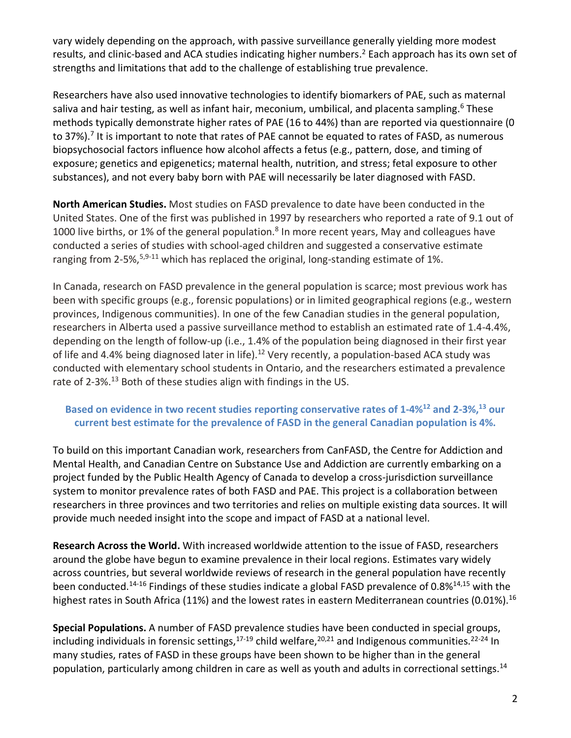vary widely depending on the approach, with passive surveillance generally yielding more modest results, and clinic-based and ACA studies indicating higher numbers.<sup>2</sup> Each approach has its own set of strengths and limitations that add to the challenge of establishing true prevalence.

Researchers have also used innovative technologies to identify biomarkers of PAE, such as maternal saliva and hair testing, as well as infant hair, meconium, umbilical, and placenta sampling.<sup>6</sup> These methods typically demonstrate higher rates of PAE (16 to 44%) than are reported via questionnaire (0 to 37%).<sup>7</sup> It is important to note that rates of PAE cannot be equated to rates of FASD, as numerous biopsychosocial factors influence how alcohol affects a fetus (e.g., pattern, dose, and timing of exposure; genetics and epigenetics; maternal health, nutrition, and stress; fetal exposure to other substances), and not every baby born with PAE will necessarily be later diagnosed with FASD.

**North American Studies.** Most studies on FASD prevalence to date have been conducted in the United States. One of the first was published in 1997 by researchers who reported a rate of 9.1 out of 1000 live births, or 1% of the general population.<sup>8</sup> In more recent years, May and colleagues have conducted a series of studies with school-aged children and suggested a conservative estimate ranging from 2-5%,<sup>5,9-11</sup> which has replaced the original, long-standing estimate of 1%.

In Canada, research on FASD prevalence in the general population is scarce; most previous work has been with specific groups (e.g., forensic populations) or in limited geographical regions (e.g., western provinces, Indigenous communities). In one of the few Canadian studies in the general population, researchers in Alberta used a passive surveillance method to establish an estimated rate of 1.4-4.4%, depending on the length of follow-up (i.e., 1.4% of the population being diagnosed in their first year of life and 4.4% being diagnosed later in life).<sup>12</sup> Very recently, a population-based ACA study was conducted with elementary school students in Ontario, and the researchers estimated a prevalence rate of 2-3%.<sup>13</sup> Both of these studies align with findings in the US.

#### **Based on evidence in two recent studies reporting conservative rates of 1-4%12 and 2-3%, <sup>13</sup> our current best estimate for the prevalence of FASD in the general Canadian population is 4%.**

To build on this important Canadian work, researchers from CanFASD, the Centre for Addiction and Mental Health, and Canadian Centre on Substance Use and Addiction are currently embarking on a project funded by the Public Health Agency of Canada to develop a cross-jurisdiction surveillance system to monitor prevalence rates of both FASD and PAE. This project is a collaboration between researchers in three provinces and two territories and relies on multiple existing data sources. It will provide much needed insight into the scope and impact of FASD at a national level.

**Research Across the World.** With increased worldwide attention to the issue of FASD, researchers around the globe have begun to examine prevalence in their local regions. Estimates vary widely across countries, but several worldwide reviews of research in the general population have recently been conducted.<sup>14-16</sup> Findings of these studies indicate a global FASD prevalence of 0.8%<sup>14,15</sup> with the highest rates in South Africa (11%) and the lowest rates in eastern Mediterranean countries (0.01%).<sup>16</sup>

**Special Populations.** A number of FASD prevalence studies have been conducted in special groups, including individuals in forensic settings,<sup>17-19</sup> child welfare,<sup>20,21</sup> and Indigenous communities.<sup>22-24</sup> In many studies, rates of FASD in these groups have been shown to be higher than in the general population, particularly among children in care as well as youth and adults in correctional settings.<sup>14</sup>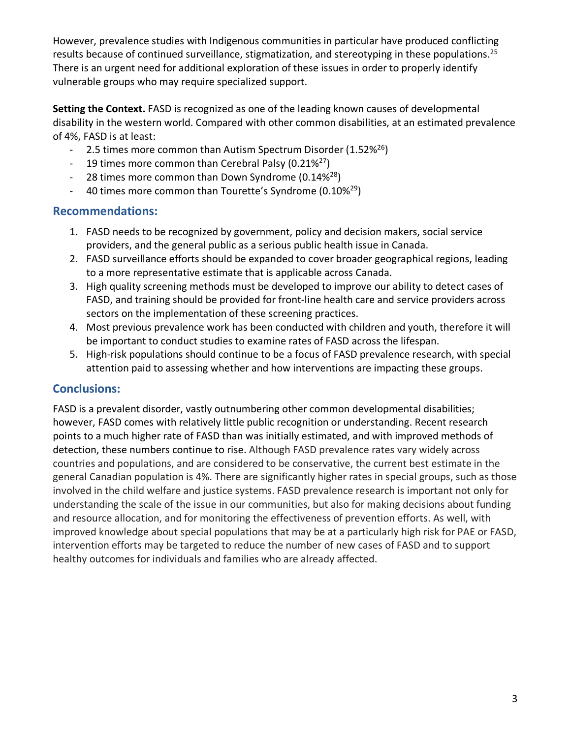However, prevalence studies with Indigenous communities in particular have produced conflicting results because of continued surveillance, stigmatization, and stereotyping in these populations.<sup>25</sup> There is an urgent need for additional exploration of these issues in order to properly identify vulnerable groups who may require specialized support.

**Setting the Context.** FASD is recognized as one of the leading known causes of developmental disability in the western world. Compared with other common disabilities, at an estimated prevalence of 4%, FASD is at least:

- 2.5 times more common than Autism Spectrum Disorder (1.52%<sup>26</sup>)
- 19 times more common than Cerebral Palsy (0.21%<sup>27</sup>)
- 28 times more common than Down Syndrome  $(0.14\%)$
- 40 times more common than Tourette's Syndrome (0.10%<sup>29</sup>)

### **Recommendations:**

- 1. FASD needs to be recognized by government, policy and decision makers, social service providers, and the general public as a serious public health issue in Canada.
- 2. FASD surveillance efforts should be expanded to cover broader geographical regions, leading to a more representative estimate that is applicable across Canada.
- 3. High quality screening methods must be developed to improve our ability to detect cases of FASD, and training should be provided for front-line health care and service providers across sectors on the implementation of these screening practices.
- 4. Most previous prevalence work has been conducted with children and youth, therefore it will be important to conduct studies to examine rates of FASD across the lifespan.
- 5. High-risk populations should continue to be a focus of FASD prevalence research, with special attention paid to assessing whether and how interventions are impacting these groups.

## **Conclusions:**

FASD is a prevalent disorder, vastly outnumbering other common developmental disabilities; however, FASD comes with relatively little public recognition or understanding. Recent research points to a much higher rate of FASD than was initially estimated, and with improved methods of detection, these numbers continue to rise. Although FASD prevalence rates vary widely across countries and populations, and are considered to be conservative, the current best estimate in the general Canadian population is 4%. There are significantly higher rates in special groups, such as those involved in the child welfare and justice systems. FASD prevalence research is important not only for understanding the scale of the issue in our communities, but also for making decisions about funding and resource allocation, and for monitoring the effectiveness of prevention efforts. As well, with improved knowledge about special populations that may be at a particularly high risk for PAE or FASD, intervention efforts may be targeted to reduce the number of new cases of FASD and to support healthy outcomes for individuals and families who are already affected.